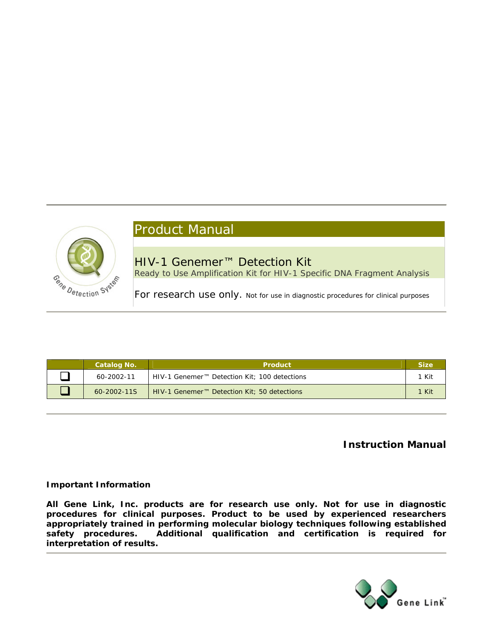# Cane Detection System

# Product Manual

HIV-1 Genemer™ Detection Kit Ready to Use Amplification Kit for HIV-1 Specific DNA Fragment Analysis

For research use only. Not for use in diagnostic procedures for clinical purposes

| Catalog No.       | <b>Product</b>                                           | <b>Size</b> |
|-------------------|----------------------------------------------------------|-------------|
| 60-2002-11        | HIV-1 Genemer <sup>™</sup> Detection Kit; 100 detections | 1 Kit       |
| $60 - 2002 - 115$ | HIV-1 Genemer <sup>™</sup> Detection Kit; 50 detections  | 1 Kit       |

# **Instruction Manual**

## **Important Information**

**All Gene Link, Inc. products are for research use only. Not for use in diagnostic procedures for clinical purposes. Product to be used by experienced researchers appropriately trained in performing molecular biology techniques following established safety procedures. Additional qualification and certification is required for interpretation of results.** 

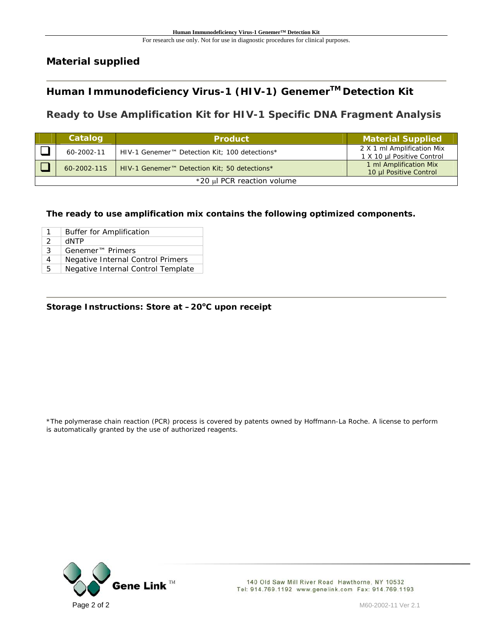# **Material supplied**

# **Human Immunodeficiency Virus-1 (HIV-1) GenemerTM Detection Kit**

# **Ready to Use Amplification Kit for HIV-1 Specific DNA Fragment Analysis**

|                            | Catalog     | <b>Product</b>                                            | <b>Material Supplied</b>                                 |  |  |
|----------------------------|-------------|-----------------------------------------------------------|----------------------------------------------------------|--|--|
|                            | 60-2002-11  | HIV-1 Genemer <sup>™</sup> Detection Kit; 100 detections* | 2 X 1 ml Amplification Mix<br>1 X 10 µl Positive Control |  |  |
|                            | 60-2002-11S | HIV-1 Genemer <sup>™</sup> Detection Kit; 50 detections*  | 1 ml Amplification Mix<br>10 µl Positive Control         |  |  |
| *20 µl PCR reaction volume |             |                                                           |                                                          |  |  |

### **The ready to use amplification mix contains the following optimized components.**

| 1 | <b>Buffer for Amplification</b>    |
|---|------------------------------------|
| 2 | <b>HNTP</b>                        |
| 3 | Genemer <sup>™</sup> Primers       |
| 4 | Negative Internal Control Primers  |
| 5 | Negative Internal Control Template |

#### Storage Instructions: Store at  $-20^{\circ}$ C upon receipt

\*The polymerase chain reaction (PCR) process is covered by patents owned by Hoffmann-La Roche. A license to perform is automatically granted by the use of authorized reagents.

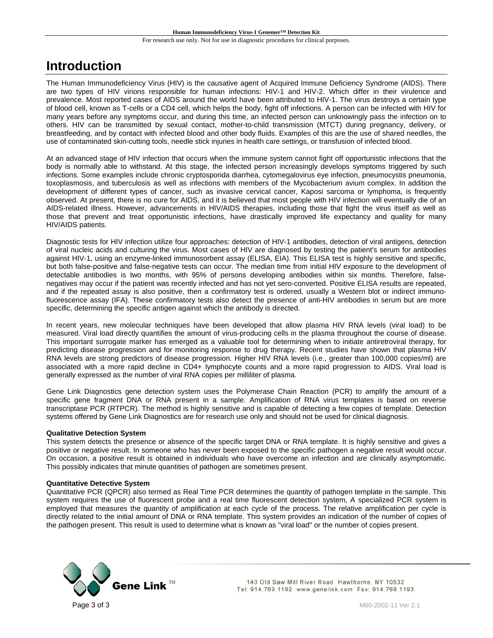# **Introduction**

The Human Immunodeficiency Virus (HIV) is the causative agent of Acquired Immune Deficiency Syndrome (AIDS). There are two types of HIV virions responsible for human infections: HIV-1 and HIV-2. Which differ in their virulence and prevalence. Most reported cases of AIDS around the world have been attributed to HIV-1. The virus destroys a certain type of blood cell, known as T-cells or a CD4 cell, which helps the body, fight off infections. A person can be infected with HIV for many years before any symptoms occur, and during this time, an infected person can unknowingly pass the infection on to others. HIV can be transmitted by sexual contact, mother-to-child transmission (MTCT) during pregnancy, delivery, or breastfeeding, and by contact with infected blood and other body fluids. Examples of this are the use of shared needles, the use of contaminated skin-cutting tools, needle stick injuries in health care settings, or transfusion of infected blood.

At an advanced stage of HIV infection that occurs when the immune system cannot fight off opportunistic infections that the body is normally able to withstand. At this stage, the infected person increasingly develops symptoms triggered by such infections. Some examples include chronic cryptosporida diarrhea, cytomegalovirus eye infection, pneumocystis pneumonia, toxoplasmosis, and tuberculosis as well as infections with members of the Mycobacterium avium complex. In addition the development of different types of cancer, such as invasive cervical cancer, Kaposi sarcoma or lymphoma, is frequently observed. At present, there is no cure for AIDS, and it is believed that most people with HIV infection will eventually die of an AIDS-related illness. However, advancements in HIV/AIDS therapies, including those that fight the virus itself as well as those that prevent and treat opportunistic infections, have drastically improved life expectancy and quality for many HIV/AIDS patients.

Diagnostic tests for HIV infection utilize four approaches: detection of HIV-1 antibodies, detection of viral antigens, detection of viral nucleic acids and culturing the virus. Most cases of HIV are diagnosed by testing the patient's serum for antibodies against HIV-1, using an enzyme-linked immunosorbent assay (ELISA, EIA). This ELISA test is highly sensitive and specific, but both false-positive and false-negative tests can occur. The median time from initial HIV exposure to the development of detectable antibodies is two months, with 95% of persons developing antibodies within six months. Therefore, falsenegatives may occur if the patient was recently infected and has not yet sero-converted. Positive ELISA results are repeated, and if the repeated assay is also positive, then a confirmatory test is ordered, usually a Western blot or indirect immunofluorescence assay (IFA). These confirmatory tests also detect the presence of anti-HIV antibodies in serum but are more specific, determining the specific antigen against which the antibody is directed.

In recent years, new molecular techniques have been developed that allow plasma HIV RNA levels (viral load) to be measured. Viral load directly quantifies the amount of virus-producing cells in the plasma throughout the course of disease. This important surrogate marker has emerged as a valuable tool for determining when to initiate antiretroviral therapy, for predicting disease progression and for monitoring response to drug therapy. Recent studies have shown that plasma HIV RNA levels are strong predictors of disease progression. Higher HIV RNA levels (i.e., greater than 100,000 copies/ml) are associated with a more rapid decline in CD4+ lymphocyte counts and a more rapid progression to AIDS. Viral load is generally expressed as the number of viral RNA copies per milliliter of plasma.

Gene Link Diagnostics gene detection system uses the Polymerase Chain Reaction (PCR) to amplify the amount of a specific gene fragment DNA or RNA present in a sample. Amplification of RNA virus templates is based on reverse transcriptase PCR (RTPCR). The method is highly sensitive and is capable of detecting a few copies of template. Detection systems offered by Gene Link Diagnostics are for research use only and should not be used for clinical diagnosis.

#### **Qualitative Detection System**

This system detects the presence or absence of the specific target DNA or RNA template. It is highly sensitive and gives a positive or negative result. In someone who has never been exposed to the specific pathogen a negative result would occur. On occasion, a positive result is obtained in individuals who have overcome an infection and are clinically asymptomatic. This possibly indicates that minute quantities of pathogen are sometimes present.

#### **Quantitative Detective System**

Quantitative PCR (QPCR) also termed as Real Time PCR determines the quantity of pathogen template in the sample. This system requires the use of fluorescent probe and a real time fluorescent detection system, A specialized PCR system is employed that measures the quantity of amplification at each cycle of the process. The relative amplification per cycle is directly related to the initial amount of DNA or RNA template. This system provides an indication of the number of copies of the pathogen present. This result is used to determine what is known as "viral load" or the number of copies present.

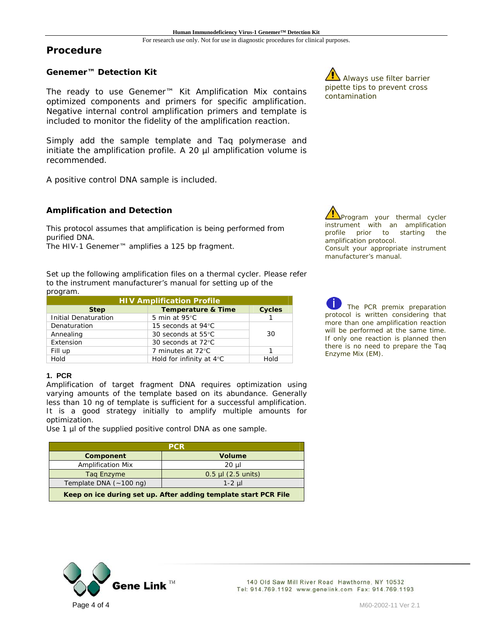#### **Procedure**

#### **Genemer™ Detection Kit**

The ready to use Genemer™ Kit Amplification Mix contains optimized components and primers for specific amplification. Negative internal control amplification primers and template is included to monitor the fidelity of the amplification reaction.

Simply add the sample template and Taq polymerase and initiate the amplification profile. A 20 µl amplification volume is recommended.

A positive control DNA sample is included.

#### **Amplification and Detection**

This protocol assumes that amplification is being performed from purified DNA.

The HIV-1 Genemer™ amplifies a 125 bp fragment.

Set up the following amplification files on a thermal cycler. Please refer to the instrument manufacturer's manual for setting up of the program.

| <b>HIV Amplification Profile</b>                              |                                    |             |  |  |  |
|---------------------------------------------------------------|------------------------------------|-------------|--|--|--|
| <b>Cycles</b><br><b>Temperature &amp; Time</b><br><b>Step</b> |                                    |             |  |  |  |
| <b>Initial Denaturation</b>                                   | 5 min at $95^{\circ}$ C            |             |  |  |  |
| Denaturation                                                  | 15 seconds at 94°C                 |             |  |  |  |
| Annealing                                                     | 30 seconds at 55°C                 | 30          |  |  |  |
| Extension                                                     | 30 seconds at 72°C                 |             |  |  |  |
| Fill up                                                       | 7 minutes at 72°C                  |             |  |  |  |
| Hold                                                          | Hold for infinity at $4^{\circ}$ C | <b>Hold</b> |  |  |  |

#### **1. PCR**

Amplification of target fragment DNA requires optimization using varying amounts of the template based on its abundance. Generally less than 10 ng of template is sufficient for a successful amplification. It is a good strategy initially to amplify multiple amounts for optimization.

Use 1 µl of the supplied positive control DNA as one sample.

| <b>PCR</b>                                                      |                        |  |  |
|-----------------------------------------------------------------|------------------------|--|--|
| Component                                                       | <b>Volume</b>          |  |  |
| <b>Amplification Mix</b>                                        | $20 \mu$               |  |  |
| Tag Enzyme                                                      | $0.5$ µl $(2.5$ units) |  |  |
| Template DNA $(-100 \text{ ng})$<br>$1-2$ ul                    |                        |  |  |
| Keep on ice during set up. After adding template start PCR File |                        |  |  |

Always use filter barrier pipette tips to prevent cross contamination

Program your thermal cycler instrument with an amplification profile prior to starting the amplification protocol. Consult your appropriate instrument manufacturer's manual.

The PCR premix preparation protocol is written considering that more than one amplification reaction will be performed at the same time. If only one reaction is planned then there is no need to prepare the Taq Enzyme Mix (EM).

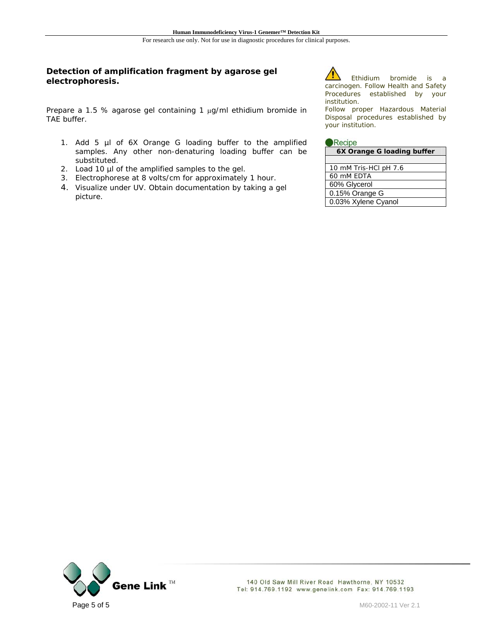#### **Detection of amplification fragment by agarose gel electrophoresis.**

Prepare a 1.5 % agarose gel containing 1 µg/ml ethidium bromide in TAE buffer.

- 1. Add 5 µl of 6X Orange G loading buffer to the amplified samples. Any other non-denaturing loading buffer can be substituted.
- 2. Load 10 µl of the amplified samples to the gel.
- 3. Electrophorese at 8 volts/cm for approximately 1 hour.
- 4. Visualize under UV. Obtain documentation by taking a gel picture.

Ethidium bromide is a carcinogen. Follow Health and Safety Procedures established by your institution.

Follow proper Hazardous Material Disposal procedures established by your institution.

| 6X Orange G loading buffer |  |  |
|----------------------------|--|--|
|                            |  |  |

| 10 mM Tris-HCl pH 7.6 |
|-----------------------|
| 60 mM EDTA            |
| 60% Glycerol          |
| 0.15% Orange G        |
| 0.03% Xylene Cyanol   |
|                       |

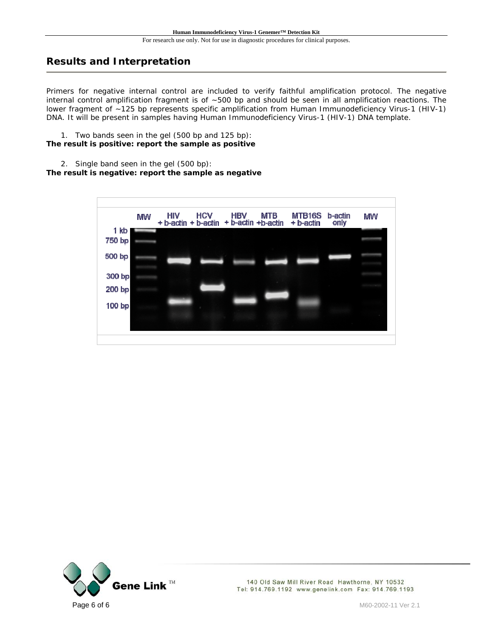## **Results and Interpretation**

Primers for negative internal control are included to verify faithful amplification protocol. The negative internal control amplification fragment is of ~500 bp and should be seen in all amplification reactions. The lower fragment of ~125 bp represents specific amplification from Human Immunodeficiency Virus-1 (HIV-1) DNA. It will be present in samples having Human Immunodeficiency Virus-1 (HIV-1) DNA template.

1. Two bands seen in the gel (500 bp and 125 bp): **The result is positive: report the sample as positive** 

2. Single band seen in the gel (500 bp):

#### **The result is negative: report the sample as negative**



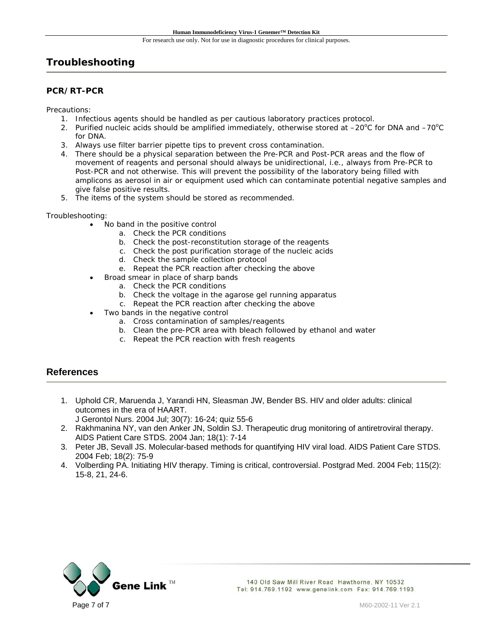## **Troubleshooting**

#### **PCR/RT-PCR**

Precautions:

- 1. Infectious agents should be handled as per cautious laboratory practices protocol.
- 2. Purified nucleic acids should be amplified immediately, otherwise stored at  $-20^{\circ}$ C for DNA and  $-70^{\circ}$ C for DNA.
- 3. Always use filter barrier pipette tips to prevent cross contamination.
- 4. There should be a physical separation between the Pre-PCR and Post-PCR areas and the flow of movement of reagents and personal should always be unidirectional, i.e., always from Pre-PCR to Post-PCR and not otherwise. This will prevent the possibility of the laboratory being filled with amplicons as aerosol in air or equipment used which can contaminate potential negative samples and give false positive results.
- 5. The items of the system should be stored as recommended.

#### Troubleshooting:

- No band in the positive control
	- a. Check the PCR conditions
	- b. Check the post-reconstitution storage of the reagents
	- c. Check the post purification storage of the nucleic acids
	- d. Check the sample collection protocol
	- e. Repeat the PCR reaction after checking the above
	- Broad smear in place of sharp bands
		- a. Check the PCR conditions
		- b. Check the voltage in the agarose gel running apparatus
		- c. Repeat the PCR reaction after checking the above
- Two bands in the negative control
	- a. Cross contamination of samples/reagents
	- b. Clean the pre-PCR area with bleach followed by ethanol and water
	- c. Repeat the PCR reaction with fresh reagents

## **References**

- 1. Uphold CR, Maruenda J, Yarandi HN, Sleasman JW, Bender BS. HIV and older adults: clinical outcomes in the era of HAART.
	- J Gerontol Nurs. 2004 Jul; 30(7): 16-24; quiz 55-6
- 2. Rakhmanina NY, van den Anker JN, Soldin SJ. Therapeutic drug monitoring of antiretroviral therapy. AIDS Patient Care STDS. 2004 Jan; 18(1): 7-14
- 3. Peter JB, Sevall JS. Molecular-based methods for quantifying HIV viral load. AIDS Patient Care STDS. 2004 Feb; 18(2): 75-9
- 4. Volberding PA. Initiating HIV therapy. Timing is critical, controversial. Postgrad Med. 2004 Feb; 115(2): 15-8, 21, 24-6.

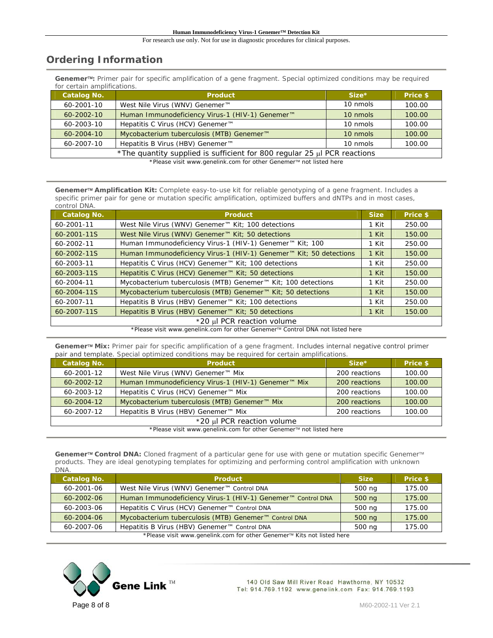## **Ordering Information**

**Genemer**™**:** Primer pair for specific amplification of a gene fragment. Special optimized conditions may be required for certain amplifications.

| <b>Catalog No.</b> | <b>Product</b>                                                                | $Size*$  | Price \$ |  |
|--------------------|-------------------------------------------------------------------------------|----------|----------|--|
| $60 - 2001 - 10$   | West Nile Virus (WNV) Genemer™                                                | 10 nmols | 100.00   |  |
| $60 - 2002 - 10$   | Human Immunodeficiency Virus-1 (HIV-1) Genemer™                               | 10 nmols | 100.00   |  |
| 60-2003-10         | Hepatitis C Virus (HCV) Genemer™                                              | 10 nmols | 100.00   |  |
| $60 - 2004 - 10$   | Mycobacterium tuberculosis (MTB) Genemer™                                     | 10 nmols | 100.00   |  |
| 60-2007-10         | Hepatitis B Virus (HBV) Genemer <sup>™</sup>                                  | 10 nmols | 100.00   |  |
|                    | *The quantity supplied is sufficient for 800 regular 25 $\mu$ I PCR reactions |          |          |  |

\*Please visit www.genelink.com for other Genemer™ not listed here

**Genemer**™ **Amplification Kit:** Complete easy-to-use kit for reliable genotyping of a gene fragment. Includes a specific primer pair for gene or mutation specific amplification, optimized buffers and dNTPs and in most cases, control DNA.

| <b>Catalog No.</b>         | <b>Product</b>                                                     | <b>Size</b> | Price \$ |  |
|----------------------------|--------------------------------------------------------------------|-------------|----------|--|
| 60-2001-11                 | West Nile Virus (WNV) Genemer™ Kit; 100 detections                 | 1 Kit       | 250.00   |  |
| 60-2001-11S                | West Nile Virus (WNV) Genemer™ Kit; 50 detections                  | 1 Kit       | 150.00   |  |
| 60-2002-11                 | Human Immunodeficiency Virus-1 (HIV-1) Genemer™ Kit; 100           | 1 Kit       | 250.00   |  |
| 60-2002-11S                | Human Immunodeficiency Virus-1 (HIV-1) Genemer™ Kit; 50 detections | 1 Kit       | 150.00   |  |
| 60-2003-11                 | Hepatitis C Virus (HCV) Genemer <sup>™</sup> Kit; 100 detections   | 1 Kit       | 250.00   |  |
| 60-2003-11S                | Hepatitis C Virus (HCV) Genemer <sup>™</sup> Kit; 50 detections    | 1 Kit       | 150.00   |  |
| 60-2004-11                 | Mycobacterium tuberculosis (MTB) Genemer™ Kit; 100 detections      | 1 Kit       | 250.00   |  |
| 60-2004-11S                | Mycobacterium tuberculosis (MTB) Genemer™ Kit; 50 detections       | 1 Kit       | 150.00   |  |
| 60-2007-11                 | Hepatitis B Virus (HBV) Genemer <sup>™</sup> Kit; 100 detections   | 1 Kit       | 250.00   |  |
| 60-2007-11S                | Hepatitis B Virus (HBV) Genemer™ Kit; 50 detections                | 1 Kit       | 150.00   |  |
| *20 µl PCR reaction volume |                                                                    |             |          |  |

\*Please visit www.genelink.com for other Genemer™ Control DNA not listed here

**Genemer**™ **Mix:** Primer pair for specific amplification of a gene fragment. Includes internal negative control primer pair and template. Special optimized conditions may be required for certain amplifications.

| <b>Catalog No.</b>                                                | <b>Product</b>                                            | $Size*$       | Price \$ |  |  |
|-------------------------------------------------------------------|-----------------------------------------------------------|---------------|----------|--|--|
| 60-2001-12                                                        | West Nile Virus (WNV) Genemer <sup>™</sup> Mix            | 200 reactions | 100.00   |  |  |
| $60 - 2002 - 12$                                                  | Human Immunodeficiency Virus-1 (HIV-1) Genemer™ Mix       | 200 reactions | 100.00   |  |  |
| 60-2003-12                                                        | Hepatitis C Virus (HCV) Genemer <sup>™</sup> Mix          | 200 reactions | 100.00   |  |  |
| $60 - 2004 - 12$                                                  | Mycobacterium tuberculosis (MTB) Genemer <sup>™</sup> Mix | 200 reactions | 100.00   |  |  |
| 60-2007-12                                                        | Hepatitis B Virus (HBV) Genemer <sup>™</sup> Mix          | 200 reactions | 100.00   |  |  |
|                                                                   | *20 µl PCR reaction volume                                |               |          |  |  |
| *Please visit www.genelink.com for other Genemer™ not listed here |                                                           |               |          |  |  |

Genemer<sup>™</sup> Control DNA: Cloned fragment of a particular gene for use with gene or mutation specific Genemer<sup>™</sup> products. They are ideal genotyping templates for optimizing and performing control amplification with unknown DNA.

| <b>Catalog No.</b>                                                     | <b>Product</b>                                              | <b>Size</b> | Price \$ |  |
|------------------------------------------------------------------------|-------------------------------------------------------------|-------------|----------|--|
| 60-2001-06                                                             | West Nile Virus (WNV) Genemer™ Control DNA                  | 500 ng      | 175.00   |  |
| $60 - 2002 - 06$                                                       | Human Immunodeficiency Virus-1 (HIV-1) Genemer™ Control DNA | 500 ng      | 175.00   |  |
| 60-2003-06                                                             | Hepatitis C Virus (HCV) Genemer™ Control DNA                | 500 ng      | 175.00   |  |
| $60 - 2004 - 06$                                                       | Mycobacterium tuberculosis (MTB) Genemer™ Control DNA       | 500 ng      | 175.00   |  |
| 60-2007-06                                                             | Hepatitis B Virus (HBV) Genemer <sup>™</sup> Control DNA    | 500 ng      | 175.00   |  |
| *Please visit www.genelink.com for other Genemer™ Kits not listed here |                                                             |             |          |  |